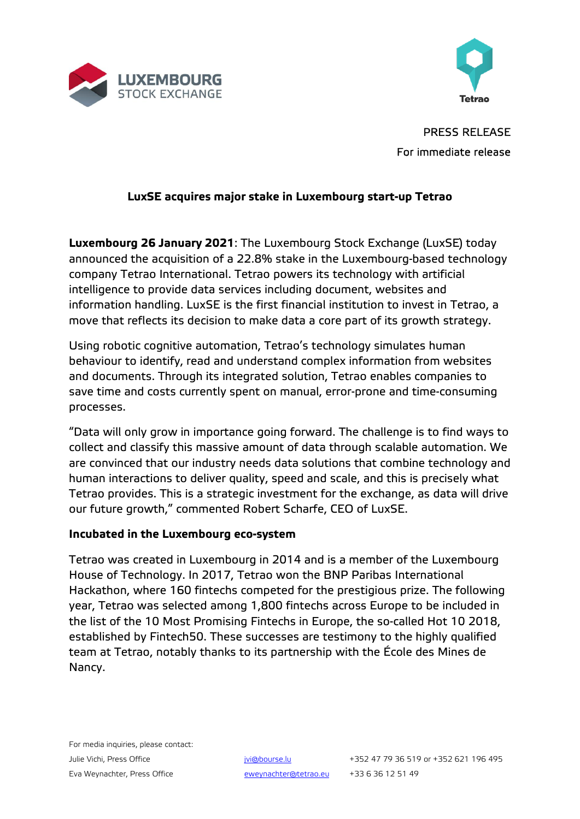



PRESS RELEASE For immediate release

# **LuxSE acquires major stake in Luxembourg start-up Tetrao**

**Luxembourg 26 January 2021**: The Luxembourg Stock Exchange (LuxSE) today announced the acquisition of a 22.8% stake in the Luxembourg-based technology company Tetrao International. Tetrao powers its technology with artificial intelligence to provide data services including document, websites and information handling. LuxSE is the first financial institution to invest in Tetrao, a move that reflects its decision to make data a core part of its growth strategy.

Using robotic cognitive automation, Tetrao's technology simulates human behaviour to identify, read and understand complex information from websites and documents. Through its integrated solution, Tetrao enables companies to save time and costs currently spent on manual, error-prone and time-consuming processes.

"Data will only grow in importance going forward. The challenge is to find ways to collect and classify this massive amount of data through scalable automation. We are convinced that our industry needs data solutions that combine technology and human interactions to deliver quality, speed and scale, and this is precisely what Tetrao provides. This is a strategic investment for the exchange, as data will drive our future growth," commented Robert Scharfe, CEO of LuxSE.

## **Incubated in the Luxembourg eco-system**

Tetrao was created in Luxembourg in 2014 and is a member of the Luxembourg House of Technology. In 2017, Tetrao won the BNP Paribas International Hackathon, where 160 fintechs competed for the prestigious prize. The following year, Tetrao was selected among 1,800 fintechs across Europe to be included in the list of the 10 Most Promising Fintechs in Europe, the so-called Hot 10 2018, established by Fintech50. These successes are testimony to the highly qualified team at Tetrao, notably thanks to its partnership with the École des Mines de Nancy.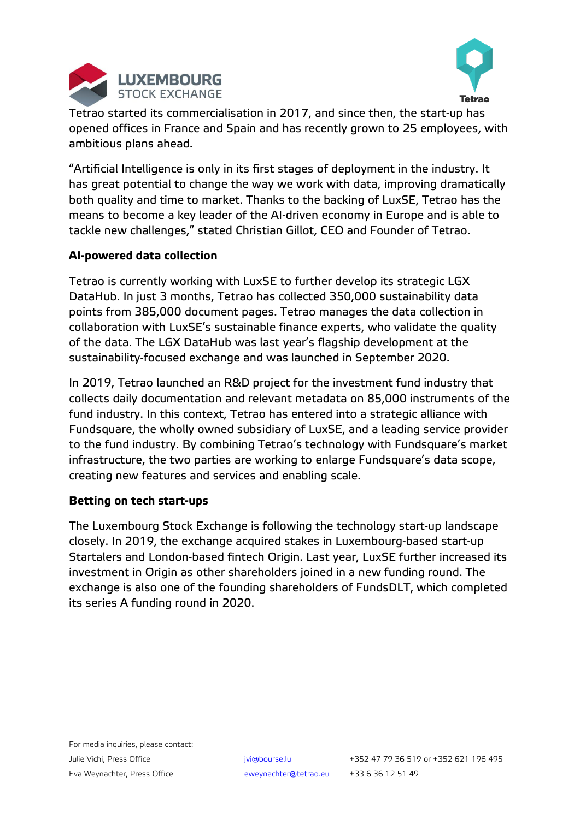



Tetrao started its commercialisation in 2017, and since then, the start-up has opened offices in France and Spain and has recently grown to 25 employees, with ambitious plans ahead.

"Artificial Intelligence is only in its first stages of deployment in the industry. It has great potential to change the way we work with data, improving dramatically both quality and time to market. Thanks to the backing of LuxSE, Tetrao has the means to become a key leader of the AI-driven economy in Europe and is able to tackle new challenges," stated Christian Gillot, CEO and Founder of Tetrao.

## **AI-powered data collection**

Tetrao is currently working with LuxSE to further develop its strategic LGX DataHub. In just 3 months, Tetrao has collected 350,000 sustainability data points from 385,000 document pages. Tetrao manages the data collection in collaboration with LuxSE's sustainable finance experts, who validate the quality of the data. The LGX DataHub was last year's flagship development at the sustainability-focused exchange and was launched in September 2020.

In 2019, Tetrao launched an R&D project for the investment fund industry that collects daily documentation and relevant metadata on 85,000 instruments of the fund industry. In this context, Tetrao has entered into a strategic alliance with Fundsquare, the wholly owned subsidiary of LuxSE, and a leading service provider to the fund industry. By combining Tetrao's technology with Fundsquare's market infrastructure, the two parties are working to enlarge Fundsquare's data scope, creating new features and services and enabling scale.

## **Betting on tech start-ups**

The Luxembourg Stock Exchange is following the technology start-up landscape closely. In 2019, the exchange acquired stakes in Luxembourg-based start-up Startalers and London-based fintech Origin. Last year, LuxSE further increased its investment in Origin as other shareholders joined in a new funding round. The exchange is also one of the founding shareholders of FundsDLT, which completed its series A funding round in 2020.